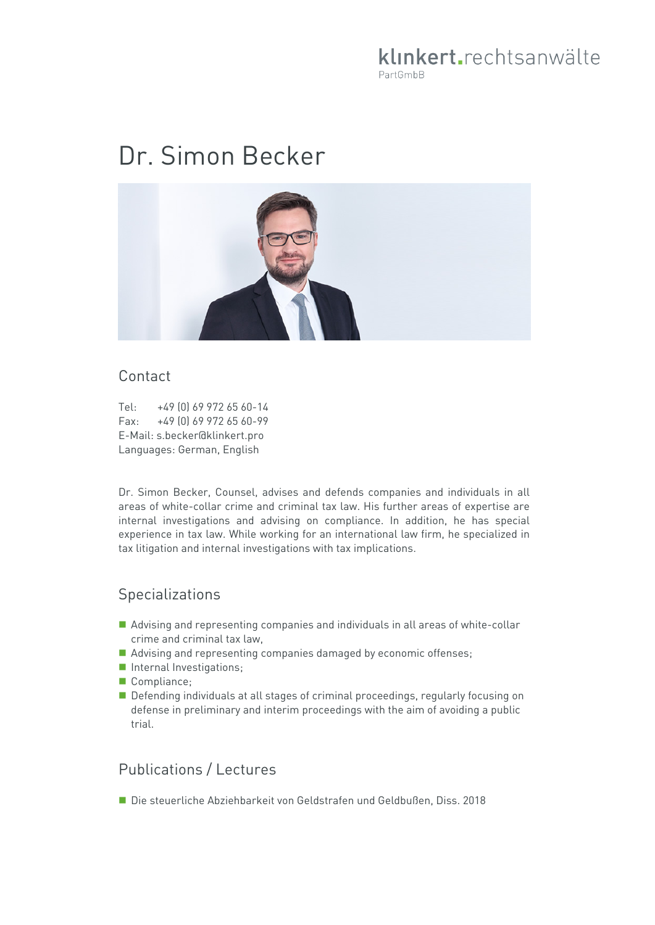## klinkert.rechtsanwälte PartGmbB

# Dr. Simon Becker



#### Contact

Tel: +49 (0) 69 972 65 60-14<br>Fax: +49 (0) 69 972 65 60-99 Fax: +49 (0) 69 972 65 60-99 E-Mail: s.becker@klinkert.pro Languages: German, English

Dr. Simon Becker, Counsel, advises and defends companies and individuals in all areas of white-collar crime and criminal tax law. His further areas of expertise are internal investigations and advising on compliance. In addition, he has special experience in tax law. While working for an international law firm, he specialized in tax litigation and internal investigations with tax implications.

### Specializations

- Advising and representing companies and individuals in all areas of white-collar crime and criminal tax law,
- Advising and representing companies damaged by economic offenses;
- Internal Investigations;
- Compliance:
- Defending individuals at all stages of criminal proceedings, regularly focusing on defense in preliminary and interim proceedings with the aim of avoiding a public trial.

### Publications / Lectures

Die steuerliche Abziehbarkeit von Geldstrafen und Geldbußen, Diss. 2018